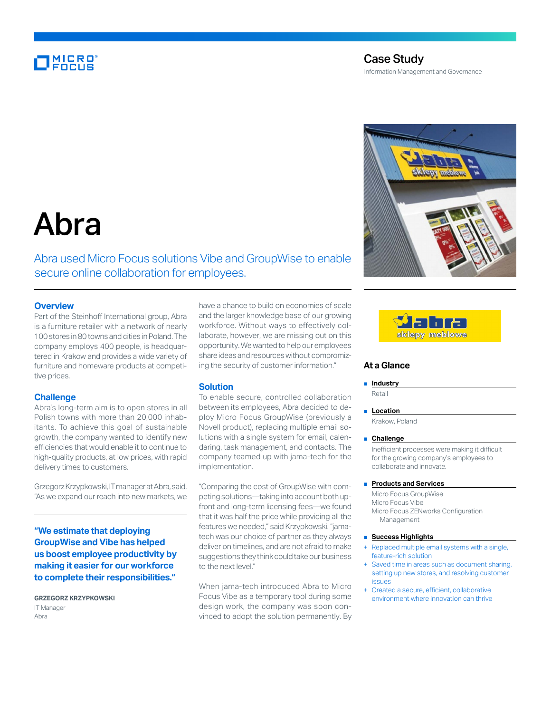# MICRO<br>Encus

### Case Study

Information Management and Governance



# Abra

## Abra used Micro Focus solutions Vibe and GroupWise to enable secure online collaboration for employees.

#### **Overview**

Part of the Steinhoff International group, Abra is a furniture retailer with a network of nearly 100 stores in 80 towns and cities in Poland. The company employs 400 people, is headquartered in Krakow and provides a wide variety of furniture and homeware products at competitive prices.

#### **Challenge**

Abra's long-term aim is to open stores in all Polish towns with more than 20,000 inhabitants. To achieve this goal of sustainable growth, the company wanted to identify new efficiencies that would enable it to continue to high-quality products, at low prices, with rapid delivery times to customers.

Grzegorz Krzypkowski, IT manager at Abra, said, "As we expand our reach into new markets, we

**"We estimate that deploying GroupWise and Vibe has helped us boost employee productivity by making it easier for our workforce to complete their responsibilities."**

**GRZEGORZ KRZYPKOWSKI** IT Manager Abra

have a chance to build on economies of scale and the larger knowledge base of our growing workforce. Without ways to effectively collaborate, however, we are missing out on this opportunity. We wanted to help our employees share ideas and resources without compromizing the security of customer information."

#### **Solution**

To enable secure, controlled collaboration between its employees, Abra decided to deploy Micro Focus GroupWise (previously a Novell product), replacing multiple email solutions with a single system for email, calendaring, task management, and contacts. The company teamed up with jama-tech for the implementation.

"Comparing the cost of GroupWise with competing solutions—taking into account both upfront and long-term licensing fees—we found that it was half the price while providing all the features we needed," said Krzypkowski. "jamatech was our choice of partner as they always deliver on timelines, and are not afraid to make suggestions they think could take our business to the next level."

When jama-tech introduced Abra to Micro Focus Vibe as a temporary tool during some design work, the company was soon convinced to adopt the solution permanently. By



#### **At a Glance**

■ **Industry** 

Retail

■ **Location** Krakow, Poland

#### ■ **Challenge**

Inefficient processes were making it difficult for the growing company's employees to collaborate and innovate.

#### ■ **Products and Services**

Micro Focus GroupWise Micro Focus Vibe Micro Focus ZENworks Configuration Management

#### ■ **Success Highlights**

- Replaced multiple email systems with a single, feature-rich solution
- + Saved time in areas such as document sharing, setting up new stores, and resolving customer issues
- + Created a secure, efficient, collaborative environment where innovation can thrive